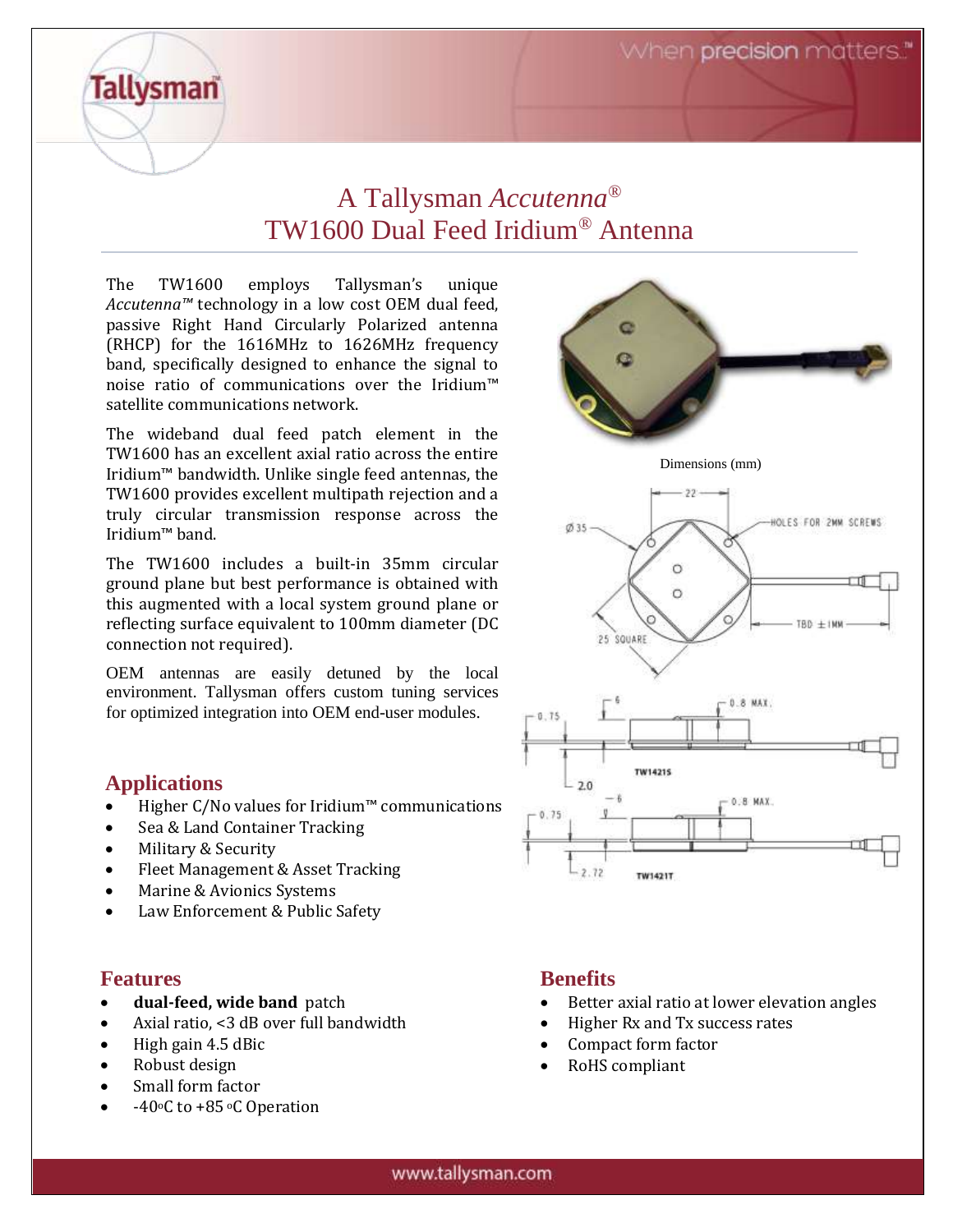When precision matters."

# A Tallysman *Accutenna®* TW1600 Dual Feed Iridium*®* Antenna

The TW1600 employs Tallysman's unique *Accutenna™* technology in a low cost OEM dual feed, passive Right Hand Circularly Polarized antenna (RHCP) for the 1616MHz to 1626MHz frequency band, specifically designed to enhance the signal to noise ratio of communications over the Iridium™ satellite communications network.

The wideband dual feed patch element in the TW1600 has an excellent axial ratio across the entire Iridium™ bandwidth. Unlike single feed antennas, the TW1600 provides excellent multipath rejection and a truly circular transmission response across the Iridium™ band.

The TW1600 includes a built-in 35mm circular ground plane but best performance is obtained with this augmented with a local system ground plane or reflecting surface equivalent to 100mm diameter (DC connection not required).

OEM antennas are easily detuned by the local environment. Tallysman offers custom tuning services for optimized integration into OEM end-user modules.

#### **Applications**

**Tallysman** 

- Higher C/No values for Iridium™ communications
- Sea & Land Container Tracking
- Military & Security
- Fleet Management & Asset Tracking
- Marine & Avionics Systems
- Law Enforcement & Public Safety

#### **Features**

- **dual-feed, wide band** patch
- Axial ratio, <3 dB over full bandwidth
- High gain 4.5 dBic
- Robust design
- Small form factor
- $-40$ <sup>o</sup>C to  $+85$ <sup>o</sup>C Operation



### **Benefits**

- Better axial ratio at lower elevation angles
- Higher Rx and Tx success rates
- Compact form factor
- RoHS compliant